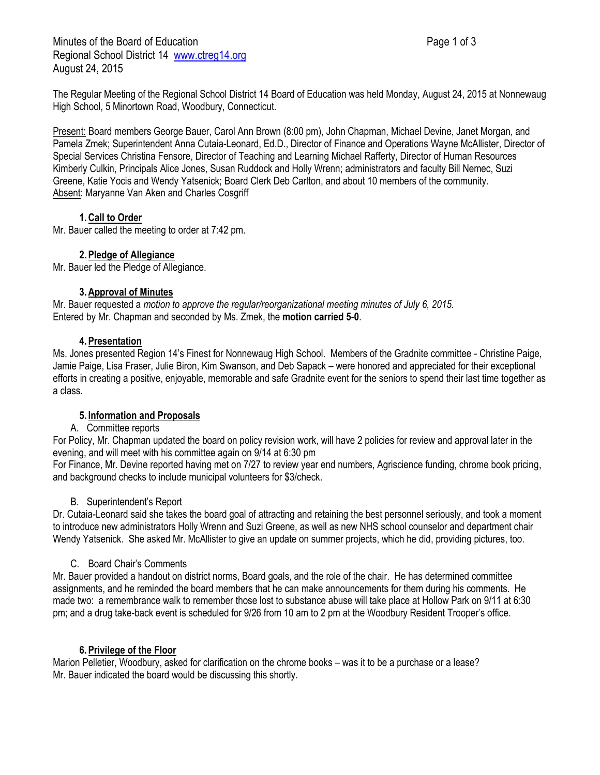Minutes of the Board of Education **Page 1 of 3** Page 1 of 3 Regional School District 14 [www.ctreg14.org](http://www.ctreg14.org/) August 24, 2015

The Regular Meeting of the Regional School District 14 Board of Education was held Monday, August 24, 2015 at Nonnewaug High School, 5 Minortown Road, Woodbury, Connecticut.

Present: Board members George Bauer, Carol Ann Brown (8:00 pm), John Chapman, Michael Devine, Janet Morgan, and Pamela Zmek; Superintendent Anna Cutaia-Leonard, Ed.D., Director of Finance and Operations Wayne McAllister, Director of Special Services Christina Fensore, Director of Teaching and Learning Michael Rafferty, Director of Human Resources Kimberly Culkin, Principals Alice Jones, Susan Ruddock and Holly Wrenn; administrators and faculty Bill Nemec, Suzi Greene, Katie Yocis and Wendy Yatsenick; Board Clerk Deb Carlton, and about 10 members of the community. Absent: Maryanne Van Aken and Charles Cosgriff

## **1.Call to Order**

Mr. Bauer called the meeting to order at 7:42 pm.

# **2.Pledge of Allegiance**

Mr. Bauer led the Pledge of Allegiance.

#### **3.Approval of Minutes**

Mr. Bauer requested a *motion to approve the regular/reorganizational meeting minutes of July 6, 2015.* Entered by Mr. Chapman and seconded by Ms. Zmek, the **motion carried 5-0**.

## **4.Presentation**

Ms. Jones presented Region 14's Finest for Nonnewaug High School. Members of the Gradnite committee - Christine Paige, Jamie Paige, Lisa Fraser, Julie Biron, Kim Swanson, and Deb Sapack – were honored and appreciated for their exceptional efforts in creating a positive, enjoyable, memorable and safe Gradnite event for the seniors to spend their last time together as a class.

## **5. Information and Proposals**

## A. Committee reports

For Policy, Mr. Chapman updated the board on policy revision work, will have 2 policies for review and approval later in the evening, and will meet with his committee again on 9/14 at 6:30 pm

For Finance, Mr. Devine reported having met on 7/27 to review year end numbers, Agriscience funding, chrome book pricing, and background checks to include municipal volunteers for \$3/check.

## B. Superintendent's Report

Dr. Cutaia-Leonard said she takes the board goal of attracting and retaining the best personnel seriously, and took a moment to introduce new administrators Holly Wrenn and Suzi Greene, as well as new NHS school counselor and department chair Wendy Yatsenick. She asked Mr. McAllister to give an update on summer projects, which he did, providing pictures, too.

## C. Board Chair's Comments

Mr. Bauer provided a handout on district norms, Board goals, and the role of the chair. He has determined committee assignments, and he reminded the board members that he can make announcements for them during his comments. He made two: a remembrance walk to remember those lost to substance abuse will take place at Hollow Park on 9/11 at 6:30 pm; and a drug take-back event is scheduled for 9/26 from 10 am to 2 pm at the Woodbury Resident Trooper's office.

## **6.Privilege of the Floor**

Marion Pelletier, Woodbury, asked for clarification on the chrome books – was it to be a purchase or a lease? Mr. Bauer indicated the board would be discussing this shortly.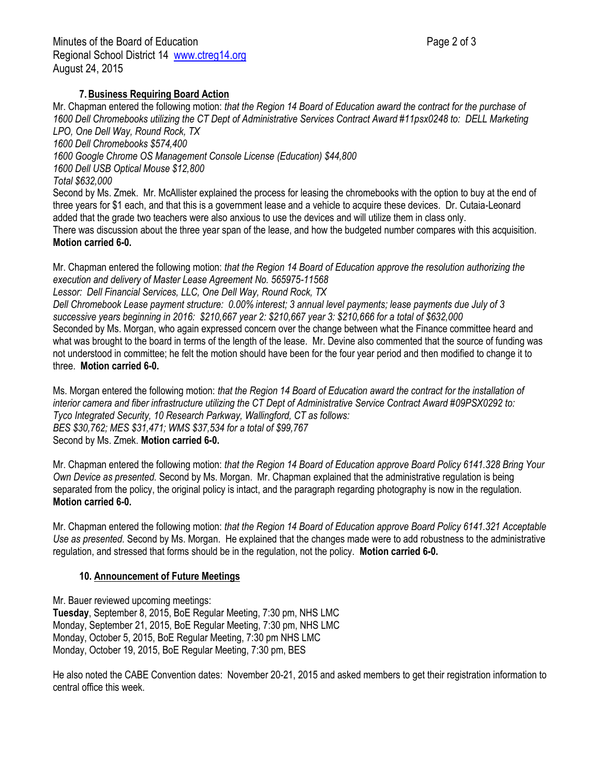Mr. Chapman entered the following motion: *that the Region 14 Board of Education award the contract for the purchase of*  1600 Dell Chromebooks utilizing the CT Dept of Administrative Services Contract Award #11psx0248 to: DELL Marketing *LPO, One Dell Way, Round Rock, TX*

*1600 Dell Chromebooks \$574,400*

*1600 Google Chrome OS Management Console License (Education) \$44,800*

*1600 Dell USB Optical Mouse \$12,800*

*Total \$632,000* 

Second by Ms. Zmek. Mr. McAllister explained the process for leasing the chromebooks with the option to buy at the end of three years for \$1 each, and that this is a government lease and a vehicle to acquire these devices. Dr. Cutaia-Leonard added that the grade two teachers were also anxious to use the devices and will utilize them in class only.

There was discussion about the three year span of the lease, and how the budgeted number compares with this acquisition. **Motion carried 6-0.**

Mr. Chapman entered the following motion: *that the Region 14 Board of Education approve the resolution authorizing the execution and delivery of Master Lease Agreement No. 565975-11568* 

*Lessor: Dell Financial Services, LLC, One Dell Way, Round Rock, TX*

*Dell Chromebook Lease payment structure: 0.00% interest; 3 annual level payments; lease payments due July of 3 successive years beginning in 2016: \$210,667 year 2: \$210,667 year 3: \$210,666 for a total of \$632,000* Seconded by Ms. Morgan, who again expressed concern over the change between what the Finance committee heard and what was brought to the board in terms of the length of the lease. Mr. Devine also commented that the source of funding was not understood in committee; he felt the motion should have been for the four year period and then modified to change it to three. **Motion carried 6-0.**

Ms. Morgan entered the following motion: *that the Region 14 Board of Education award the contract for the installation of interior camera and fiber infrastructure utilizing the CT Dept of Administrative Service Contract Award #09PSX0292 to: Tyco Integrated Security, 10 Research Parkway, Wallingford, CT as follows: BES \$30,762; MES \$31,471; WMS \$37,534 for a total of \$99,767* Second by Ms. Zmek. **Motion carried 6-0.**

Mr. Chapman entered the following motion: *that the Region 14 Board of Education approve Board Policy 6141.328 Bring Your Own Device as presented.* Second by Ms. Morgan. Mr. Chapman explained that the administrative regulation is being separated from the policy, the original policy is intact, and the paragraph regarding photography is now in the regulation. **Motion carried 6-0.**

Mr. Chapman entered the following motion: *that the Region 14 Board of Education approve Board Policy 6141.321 Acceptable Use as presented.* Second by Ms. Morgan. He explained that the changes made were to add robustness to the administrative regulation, and stressed that forms should be in the regulation, not the policy. **Motion carried 6-0.**

## **10. Announcement of Future Meetings**

Mr. Bauer reviewed upcoming meetings: **Tuesday**, September 8, 2015, BoE Regular Meeting, 7:30 pm, NHS LMC Monday, September 21, 2015, BoE Regular Meeting, 7:30 pm, NHS LMC Monday, October 5, 2015, BoE Regular Meeting, 7:30 pm NHS LMC Monday, October 19, 2015, BoE Regular Meeting, 7:30 pm, BES

He also noted the CABE Convention dates: November 20-21, 2015 and asked members to get their registration information to central office this week.